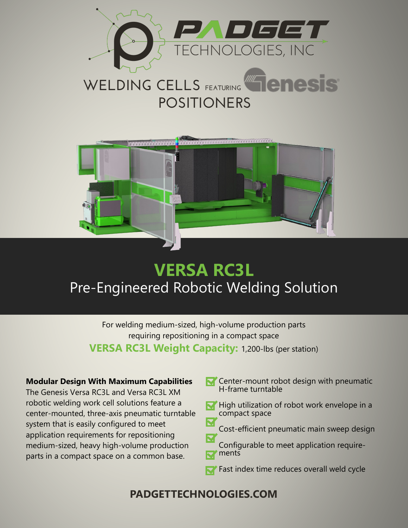

# **POSITIONERS** WELDING CELLS FEATURING **THE RESIS**



## **VERSA RC3L** Pre-Engineered Robotic Welding Solution

For welding medium-sized, high-volume production parts requiring repositioning in a compact space **VERSA RC3L Weight Capacity:** 1,200-lbs (per station)

#### **Modular Design With Maximum Capabilities**

The Genesis Versa RC3L and Versa RC3L XM robotic welding work cell solutions feature a center-mounted, three-axis pneumatic turntable system that is easily configured to meet application requirements for repositioning medium-sized, heavy high-volume production parts in a compact space on a common base.

- Center-mount robot design with pneumatic H-frame turntable
- $\blacktriangleright$  High utilization of robot work envelope in a compact space
- Cost-efficient pneumatic main sweep design
- Configurable to meet application requirements
- Fast index time reduces overall weld cycle

### **PADGETTECHNOLOGIES.COM**